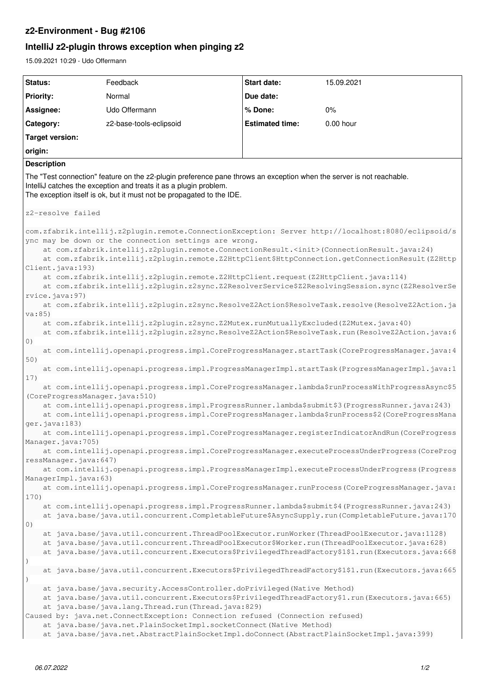## **z2-Environment - Bug #2106**

# **IntelliJ z2-plugin throws exception when pinging z2**

15.09.2021 10:29 - Udo Offermann

| <b>Status:</b>                                                                                                                                                                                                                                                                                                                                                                                                                                                                                                                                                                        | Feedback                                                                                                                                                                                           | <b>Start date:</b>     | 15.09.2021 |
|---------------------------------------------------------------------------------------------------------------------------------------------------------------------------------------------------------------------------------------------------------------------------------------------------------------------------------------------------------------------------------------------------------------------------------------------------------------------------------------------------------------------------------------------------------------------------------------|----------------------------------------------------------------------------------------------------------------------------------------------------------------------------------------------------|------------------------|------------|
| Priority:                                                                                                                                                                                                                                                                                                                                                                                                                                                                                                                                                                             | Normal                                                                                                                                                                                             | Due date:              |            |
| Assignee:                                                                                                                                                                                                                                                                                                                                                                                                                                                                                                                                                                             | Udo Offermann                                                                                                                                                                                      | % Done:                | 0%         |
| Category:                                                                                                                                                                                                                                                                                                                                                                                                                                                                                                                                                                             | z2-base-tools-eclipsoid                                                                                                                                                                            | <b>Estimated time:</b> | 0.00 hour  |
|                                                                                                                                                                                                                                                                                                                                                                                                                                                                                                                                                                                       |                                                                                                                                                                                                    |                        |            |
| <b>Target version:</b>                                                                                                                                                                                                                                                                                                                                                                                                                                                                                                                                                                |                                                                                                                                                                                                    |                        |            |
| origin:                                                                                                                                                                                                                                                                                                                                                                                                                                                                                                                                                                               |                                                                                                                                                                                                    |                        |            |
| <b>Description</b>                                                                                                                                                                                                                                                                                                                                                                                                                                                                                                                                                                    |                                                                                                                                                                                                    |                        |            |
| The "Test connection" feature on the z2-plugin preference pane throws an exception when the server is not reachable.<br>IntelliJ catches the exception and treats it as a plugin problem.<br>The exception itself is ok, but it must not be propagated to the IDE.                                                                                                                                                                                                                                                                                                                    |                                                                                                                                                                                                    |                        |            |
| z2-resolve failed                                                                                                                                                                                                                                                                                                                                                                                                                                                                                                                                                                     |                                                                                                                                                                                                    |                        |            |
| com.zfabrik.intellij.z2plugin.remote.ConnectionException: Server http://localhost:8080/eclipsoid/s<br>ync may be down or the connection settings are wrong.<br>at com.zfabrik.intellij.z2plugin.remote.ConnectionResult. <init>(ConnectionResult.java:24)<br/>at com.zfabrik.intellij.z2plugin.remote.Z2HttpClient\$HttpConnection.getConnectionResult(Z2Http<br/>Client.java:193)<br/>at com.zfabrik.intellij.z2plugin.remote.Z2HttpClient.request(Z2HttpClient.java:114)<br/>at com.zfabrik.intellij.z2plugin.z2sync.Z2ResolverService\$Z2ResolvingSession.sync(Z2ResolverSe</init> |                                                                                                                                                                                                    |                        |            |
| rvice.java:97)<br>at com.zfabrik.intellij.z2plugin.z2sync.ResolveZ2Action\$ResolveTask.resolve(ResolveZ2Action.ja                                                                                                                                                                                                                                                                                                                                                                                                                                                                     |                                                                                                                                                                                                    |                        |            |
| va:85)                                                                                                                                                                                                                                                                                                                                                                                                                                                                                                                                                                                |                                                                                                                                                                                                    |                        |            |
| at com.zfabrik.intellij.z2plugin.z2sync.Z2Mutex.runMutuallyExcluded(Z2Mutex.java:40)<br>at com.zfabrik.intellij.z2plugin.z2sync.ResolveZ2Action\$ResolveTask.run(ResolveZ2Action.java:6                                                                                                                                                                                                                                                                                                                                                                                               |                                                                                                                                                                                                    |                        |            |
| 0)<br>at com.intellij.openapi.progress.impl.CoreProgressManager.startTask(CoreProgressManager.java:4                                                                                                                                                                                                                                                                                                                                                                                                                                                                                  |                                                                                                                                                                                                    |                        |            |
| 50)                                                                                                                                                                                                                                                                                                                                                                                                                                                                                                                                                                                   |                                                                                                                                                                                                    |                        |            |
| at com.intellij.openapi.progress.impl.ProgressManagerImpl.startTask(ProgressManagerImpl.java:1<br>17)                                                                                                                                                                                                                                                                                                                                                                                                                                                                                 |                                                                                                                                                                                                    |                        |            |
| at com.intellij.openapi.progress.impl.CoreProgressManager.lambda\$runProcessWithProgressAsync\$5<br>(CoreProgressManager.java:510)                                                                                                                                                                                                                                                                                                                                                                                                                                                    |                                                                                                                                                                                                    |                        |            |
| at com.intellij.openapi.progress.impl.ProgressRunner.lambda\$submit\$3(ProgressRunner.java:243)<br>at com.intellij.openapi.progress.impl.CoreProgressManager.lambda\$runProcess\$2(CoreProgressMana<br>ger.java:183)                                                                                                                                                                                                                                                                                                                                                                  |                                                                                                                                                                                                    |                        |            |
| at com.intellij.openapi.progress.impl.CoreProgressManager.registerIndicatorAndRun (CoreProgress<br>Manager.java: 705)                                                                                                                                                                                                                                                                                                                                                                                                                                                                 |                                                                                                                                                                                                    |                        |            |
| at com.intellij.openapi.progress.impl.CoreProgressManager.executeProcessUnderProgress(CoreProg                                                                                                                                                                                                                                                                                                                                                                                                                                                                                        |                                                                                                                                                                                                    |                        |            |
| ressManager.java:647)<br>at com.intellij.openapi.progress.impl.ProgressManagerImpl.executeProcessUnderProgress (Progress                                                                                                                                                                                                                                                                                                                                                                                                                                                              |                                                                                                                                                                                                    |                        |            |
| ManagerImpl.java:63)<br>at com.intellij.openapi.progress.impl.CoreProgressManager.runProcess(CoreProgressManager.java:                                                                                                                                                                                                                                                                                                                                                                                                                                                                |                                                                                                                                                                                                    |                        |            |
| 170)                                                                                                                                                                                                                                                                                                                                                                                                                                                                                                                                                                                  |                                                                                                                                                                                                    |                        |            |
|                                                                                                                                                                                                                                                                                                                                                                                                                                                                                                                                                                                       | at com.intellij.openapi.progress.impl.ProgressRunner.lambda\$submit\$4(ProgressRunner.java:243)<br>at java.base/java.util.concurrent.CompletableFuture\$AsyncSupply.run(CompletableFuture.java:170 |                        |            |
| 0)                                                                                                                                                                                                                                                                                                                                                                                                                                                                                                                                                                                    | at java.base/java.util.concurrent.ThreadPoolExecutor.runWorker(ThreadPoolExecutor.java:1128)                                                                                                       |                        |            |
|                                                                                                                                                                                                                                                                                                                                                                                                                                                                                                                                                                                       | at java.base/java.util.concurrent.ThreadPoolExecutor\$Worker.run(ThreadPoolExecutor.java:628)                                                                                                      |                        |            |
|                                                                                                                                                                                                                                                                                                                                                                                                                                                                                                                                                                                       | at java.base/java.util.concurrent.Executors\$PrivilegedThreadFactory\$1\$1.run(Executors.java:668                                                                                                  |                        |            |
|                                                                                                                                                                                                                                                                                                                                                                                                                                                                                                                                                                                       | at java.base/java.util.concurrent.Executors\$PrivilegedThreadFactory\$1\$1.run(Executors.java:665                                                                                                  |                        |            |
| at java.base/java.security.AccessController.doPrivileged (Native Method)<br>at java.base/java.util.concurrent.Executors\$PrivilegedThreadFactory\$1.run(Executors.java:665)<br>at java.base/java.lang.Thread.run(Thread.java:829)<br>Caused by: java.net.ConnectException: Connection refused (Connection refused)                                                                                                                                                                                                                                                                    |                                                                                                                                                                                                    |                        |            |
| at java.base/java.net.PlainSocketImpl.socketConnect (Native Method)<br>at java.base/java.net.AbstractPlainSocketImpl.doConnect(AbstractPlainSocketImpl.java:399)                                                                                                                                                                                                                                                                                                                                                                                                                      |                                                                                                                                                                                                    |                        |            |